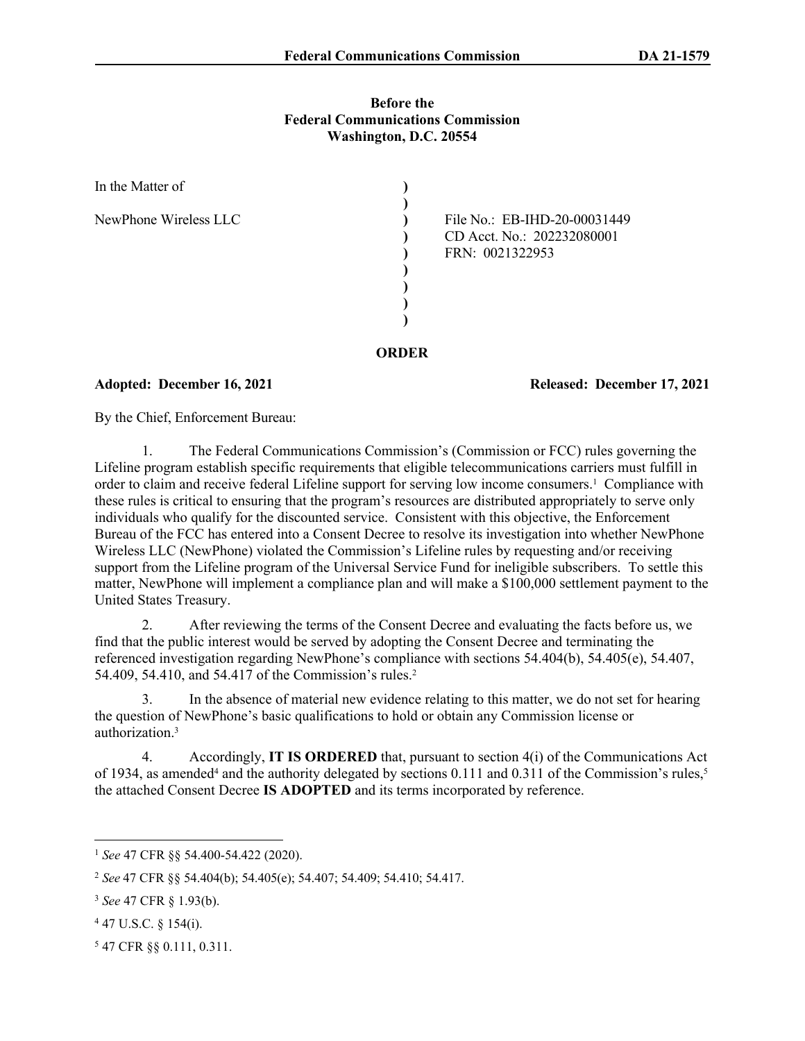#### **Before the Federal Communications Commission Washington, D.C. 20554**

| In the Matter of      |                                                                               |
|-----------------------|-------------------------------------------------------------------------------|
| NewPhone Wireless LLC | File No.: EB-IHD-20-00031449<br>CD Acct. No.: 202232080001<br>FRN: 0021322953 |
|                       |                                                                               |

Adopted: December 16, 2021 **Released: December 17, 2021** 

By the Chief, Enforcement Bureau:

1. The Federal Communications Commission's (Commission or FCC) rules governing the Lifeline program establish specific requirements that eligible telecommunications carriers must fulfill in order to claim and receive federal Lifeline support for serving low income consumers.<sup>1</sup> Compliance with these rules is critical to ensuring that the program's resources are distributed appropriately to serve only individuals who qualify for the discounted service. Consistent with this objective, the Enforcement Bureau of the FCC has entered into a Consent Decree to resolve its investigation into whether NewPhone Wireless LLC (NewPhone) violated the Commission's Lifeline rules by requesting and/or receiving support from the Lifeline program of the Universal Service Fund for ineligible subscribers. To settle this matter, NewPhone will implement a compliance plan and will make a \$100,000 settlement payment to the United States Treasury.

**ORDER**

2. After reviewing the terms of the Consent Decree and evaluating the facts before us, we find that the public interest would be served by adopting the Consent Decree and terminating the referenced investigation regarding NewPhone's compliance with sections 54.404(b), 54.405(e), 54.407, 54.409, 54.410, and 54.417 of the Commission's rules.<sup>2</sup>

3. In the absence of material new evidence relating to this matter, we do not set for hearing the question of NewPhone's basic qualifications to hold or obtain any Commission license or authorization.<sup>3</sup>

4. Accordingly, **IT IS ORDERED** that, pursuant to section 4(i) of the Communications Act of 1934, as amended<sup>4</sup> and the authority delegated by sections 0.111 and 0.311 of the Commission's rules,<sup>5</sup> the attached Consent Decree **IS ADOPTED** and its terms incorporated by reference.

- 4 47 U.S.C. § 154(i).
- 5 47 CFR §§ 0.111, 0.311.

<sup>1</sup> *See* 47 CFR §§ 54.400-54.422 (2020).

<sup>2</sup> *See* 47 CFR §§ 54.404(b); 54.405(e); 54.407; 54.409; 54.410; 54.417.

<sup>3</sup> *See* 47 CFR § 1.93(b).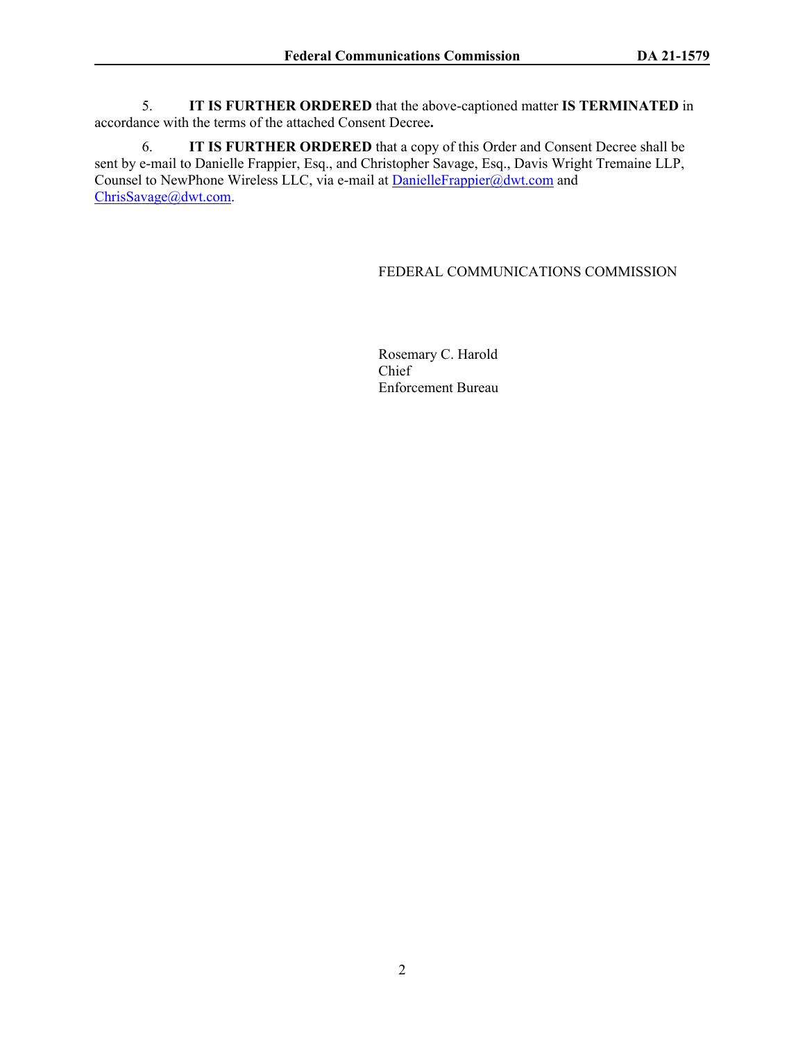5. **IT IS FURTHER ORDERED** that the above-captioned matter **IS TERMINATED** in accordance with the terms of the attached Consent Decree**.**

6. **IT IS FURTHER ORDERED** that a copy of this Order and Consent Decree shall be sent by e-mail to Danielle Frappier, Esq., and Christopher Savage, Esq., Davis Wright Tremaine LLP, Counsel to NewPhone Wireless LLC, via e-mail at **DanielleFrappier@dwt.com** and [ChrisSavage@dwt.com.](mailto:ChrisSavage@dwt.com)

#### FEDERAL COMMUNICATIONS COMMISSION

Rosemary C. Harold Chief Enforcement Bureau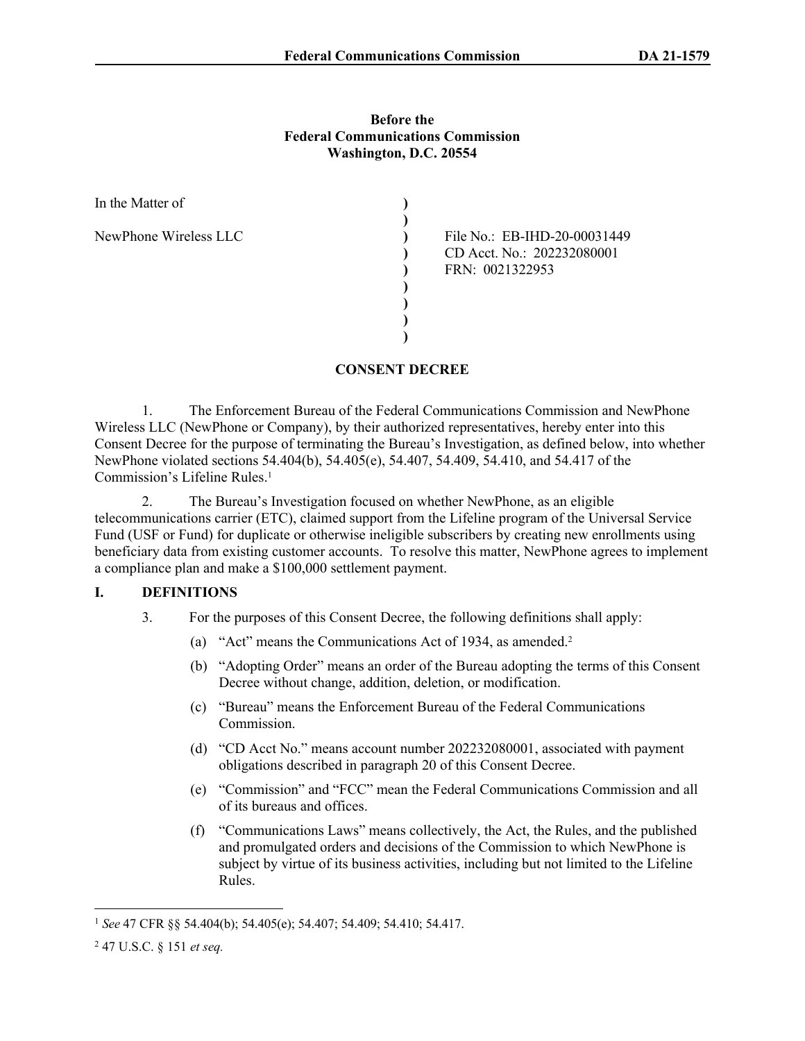### **Before the Federal Communications Commission Washington, D.C. 20554**

| In the Matter of      |                                                                               |
|-----------------------|-------------------------------------------------------------------------------|
| NewPhone Wireless LLC | File No.: EB-IHD-20-00031449<br>CD Acct. No.: 202232080001<br>FRN: 0021322953 |
|                       |                                                                               |

# **CONSENT DECREE**

1. The Enforcement Bureau of the Federal Communications Commission and NewPhone Wireless LLC (NewPhone or Company), by their authorized representatives, hereby enter into this Consent Decree for the purpose of terminating the Bureau's Investigation, as defined below, into whether NewPhone violated sections 54.404(b), 54.405(e), 54.407, 54.409, 54.410, and 54.417 of the Commission's Lifeline Rules.<sup>1</sup>

2. The Bureau's Investigation focused on whether NewPhone, as an eligible telecommunications carrier (ETC), claimed support from the Lifeline program of the Universal Service Fund (USF or Fund) for duplicate or otherwise ineligible subscribers by creating new enrollments using beneficiary data from existing customer accounts. To resolve this matter, NewPhone agrees to implement a compliance plan and make a \$100,000 settlement payment.

### **I. DEFINITIONS**

- 3. For the purposes of this Consent Decree, the following definitions shall apply:
	- (a) "Act" means the Communications Act of 1934, as amended.<sup>2</sup>
	- (b) "Adopting Order" means an order of the Bureau adopting the terms of this Consent Decree without change, addition, deletion, or modification.
	- (c) "Bureau" means the Enforcement Bureau of the Federal Communications Commission.
	- (d) "CD Acct No." means account number 202232080001, associated with payment obligations described in paragraph [20](#page-8-0) of this Consent Decree.
	- (e) "Commission" and "FCC" mean the Federal Communications Commission and all of its bureaus and offices.
	- (f) "Communications Laws" means collectively, the Act, the Rules, and the published and promulgated orders and decisions of the Commission to which NewPhone is subject by virtue of its business activities, including but not limited to the Lifeline Rules.

<sup>1</sup> *See* 47 CFR §§ 54.404(b); 54.405(e); 54.407; 54.409; 54.410; 54.417.

<sup>2</sup> 47 U.S.C. § 151 *et seq.*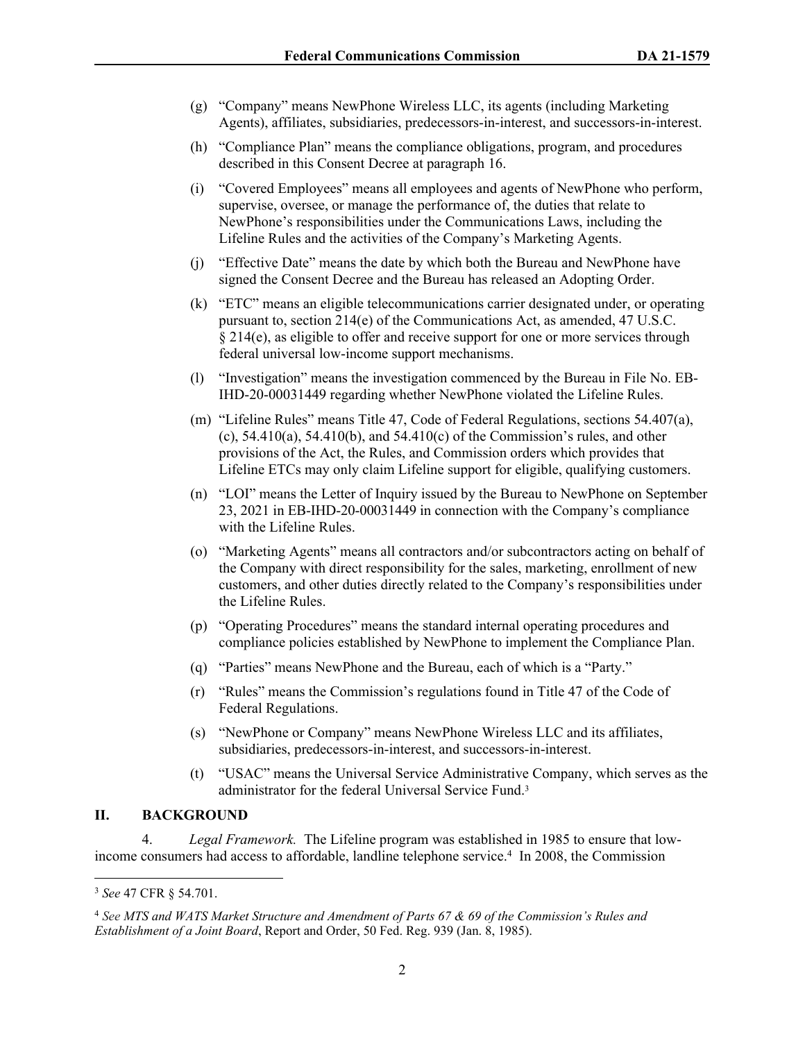- (g) "Company" means NewPhone Wireless LLC, its agents (including Marketing Agents), affiliates, subsidiaries, predecessors-in-interest, and successors-in-interest.
- (h) "Compliance Plan" means the compliance obligations, program, and procedures described in this Consent Decree at paragraph [16](#page-7-0).
- (i) "Covered Employees" means all employees and agents of NewPhone who perform, supervise, oversee, or manage the performance of, the duties that relate to NewPhone's responsibilities under the Communications Laws, including the Lifeline Rules and the activities of the Company's Marketing Agents.
- (j) "Effective Date" means the date by which both the Bureau and NewPhone have signed the Consent Decree and the Bureau has released an Adopting Order.
- (k) "ETC" means an eligible telecommunications carrier designated under, or operating pursuant to, section 214(e) of the Communications Act, as amended, 47 U.S.C. § 214(e), as eligible to offer and receive support for one or more services through federal universal low-income support mechanisms.
- (l) "Investigation" means the investigation commenced by the Bureau in File No. EB-IHD-20-00031449 regarding whether NewPhone violated the Lifeline Rules.
- (m) "Lifeline Rules" means Title 47, Code of Federal Regulations, sections 54.407(a), (c),  $54.410(a)$ ,  $54.410(b)$ , and  $54.410(c)$  of the Commission's rules, and other provisions of the Act, the Rules, and Commission orders which provides that Lifeline ETCs may only claim Lifeline support for eligible, qualifying customers.
- (n) "LOI" means the Letter of Inquiry issued by the Bureau to NewPhone on September 23, 2021 in EB-IHD-20-00031449 in connection with the Company's compliance with the Lifeline Rules.
- (o) "Marketing Agents" means all contractors and/or subcontractors acting on behalf of the Company with direct responsibility for the sales, marketing, enrollment of new customers, and other duties directly related to the Company's responsibilities under the Lifeline Rules.
- (p) "Operating Procedures" means the standard internal operating procedures and compliance policies established by NewPhone to implement the Compliance Plan.
- (q) "Parties" means NewPhone and the Bureau, each of which is a "Party."
- (r) "Rules" means the Commission's regulations found in Title 47 of the Code of Federal Regulations.
- (s) "NewPhone or Company" means NewPhone Wireless LLC and its affiliates, subsidiaries, predecessors-in-interest, and successors-in-interest.
- (t) "USAC" means the Universal Service Administrative Company, which serves as the administrator for the federal Universal Service Fund.<sup>3</sup>

## **II. BACKGROUND**

4. *Legal Framework.* The Lifeline program was established in 1985 to ensure that lowincome consumers had access to affordable, landline telephone service.<sup>4</sup> In 2008, the Commission

<sup>3</sup> *See* 47 CFR § 54.701.

<sup>4</sup> *See MTS and WATS Market Structure and Amendment of Parts 67 & 69 of the Commission's Rules and Establishment of a Joint Board*, Report and Order, 50 Fed. Reg. 939 (Jan. 8, 1985).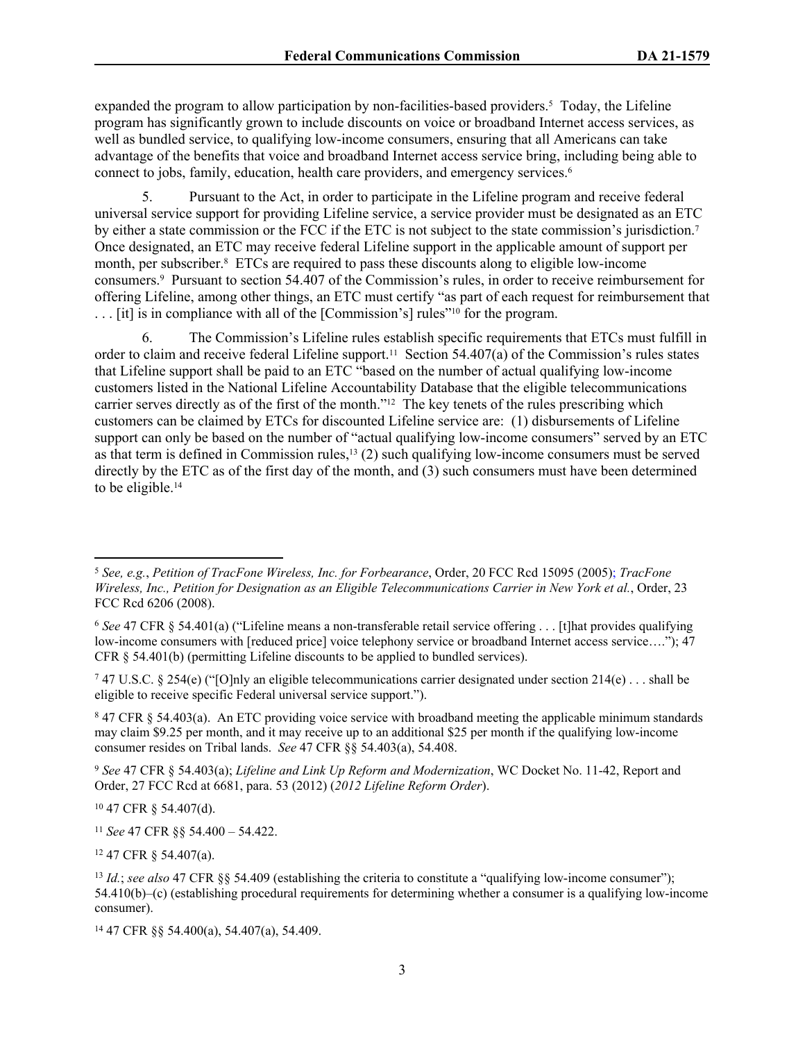expanded the program to allow participation by non-facilities-based providers.<sup>5</sup> Today, the Lifeline program has significantly grown to include discounts on voice or broadband Internet access services, as well as bundled service, to qualifying low-income consumers, ensuring that all Americans can take advantage of the benefits that voice and broadband Internet access service bring, including being able to connect to jobs, family, education, health care providers, and emergency services.<sup>6</sup>

5. Pursuant to the Act, in order to participate in the Lifeline program and receive federal universal service support for providing Lifeline service, a service provider must be designated as an ETC by either a state commission or the FCC if the ETC is not subject to the state commission's jurisdiction.<sup>7</sup> Once designated, an ETC may receive federal Lifeline support in the applicable amount of support per month, per subscriber.<sup>8</sup> ETCs are required to pass these discounts along to eligible low-income consumers.<sup>9</sup> Pursuant to section 54.407 of the Commission's rules, in order to receive reimbursement for offering Lifeline, among other things, an ETC must certify "as part of each request for reimbursement that . . . [it] is in compliance with all of the [Commission's] rules"10 for the program.

6. The Commission's Lifeline rules establish specific requirements that ETCs must fulfill in order to claim and receive federal Lifeline support.<sup>11</sup> Section 54.407(a) of the Commission's rules states that Lifeline support shall be paid to an ETC "based on the number of actual qualifying low-income customers listed in the National Lifeline Accountability Database that the eligible telecommunications carrier serves directly as of the first of the month."12 The key tenets of the rules prescribing which customers can be claimed by ETCs for discounted Lifeline service are: (1) disbursements of Lifeline support can only be based on the number of "actual qualifying low-income consumers" served by an ETC as that term is defined in Commission rules,13 (2) such qualifying low-income consumers must be served directly by the ETC as of the first day of the month, and (3) such consumers must have been determined to be eligible.<sup>14</sup>

7 47 U.S.C. § 254(e) ("[O]nly an eligible telecommunications carrier designated under section 214(e) . . . shall be eligible to receive specific Federal universal service support.").

<sup>8</sup> 47 CFR § 54.403(a). An ETC providing voice service with broadband meeting the applicable minimum standards may claim \$9.25 per month, and it may receive up to an additional \$25 per month if the qualifying low-income consumer resides on Tribal lands. *See* 47 CFR §§ 54.403(a), 54.408.

<sup>9</sup> *See* 47 CFR § 54.403(a); *Lifeline and Link Up Reform and Modernization*, WC Docket No. 11-42, Report and Order, 27 FCC Rcd at 6681, para. 53 (2012) (*2012 Lifeline Reform Order*).

<sup>10</sup> 47 CFR § 54.407(d).

<sup>11</sup> *See* 47 CFR §§ 54.400 – 54.422.

<sup>12</sup> 47 CFR § 54.407(a).

<sup>5</sup> *See, e.g.*, *Petition of TracFone Wireless, Inc. for Forbearance*, Order, 20 FCC Rcd 15095 (2005); *TracFone Wireless, Inc., Petition for Designation as an Eligible Telecommunications Carrier in New York et al.*, Order, 23 FCC Rcd 6206 (2008).

<sup>6</sup>  *See* 47 CFR § 54.401(a) ("Lifeline means a non-transferable retail service offering . . . [t]hat provides qualifying low-income consumers with [reduced price] voice telephony service or broadband Internet access service…."); 47 CFR  $\S$  54.401(b) (permitting Lifeline discounts to be applied to bundled services).

<sup>13</sup> *Id.*; *see also* 47 CFR §§ 54.409 (establishing the criteria to constitute a "qualifying low-income consumer"); 54.410(b)–(c) (establishing procedural requirements for determining whether a consumer is a qualifying low-income consumer).

<sup>14</sup> 47 CFR §§ 54.400(a), 54.407(a), 54.409.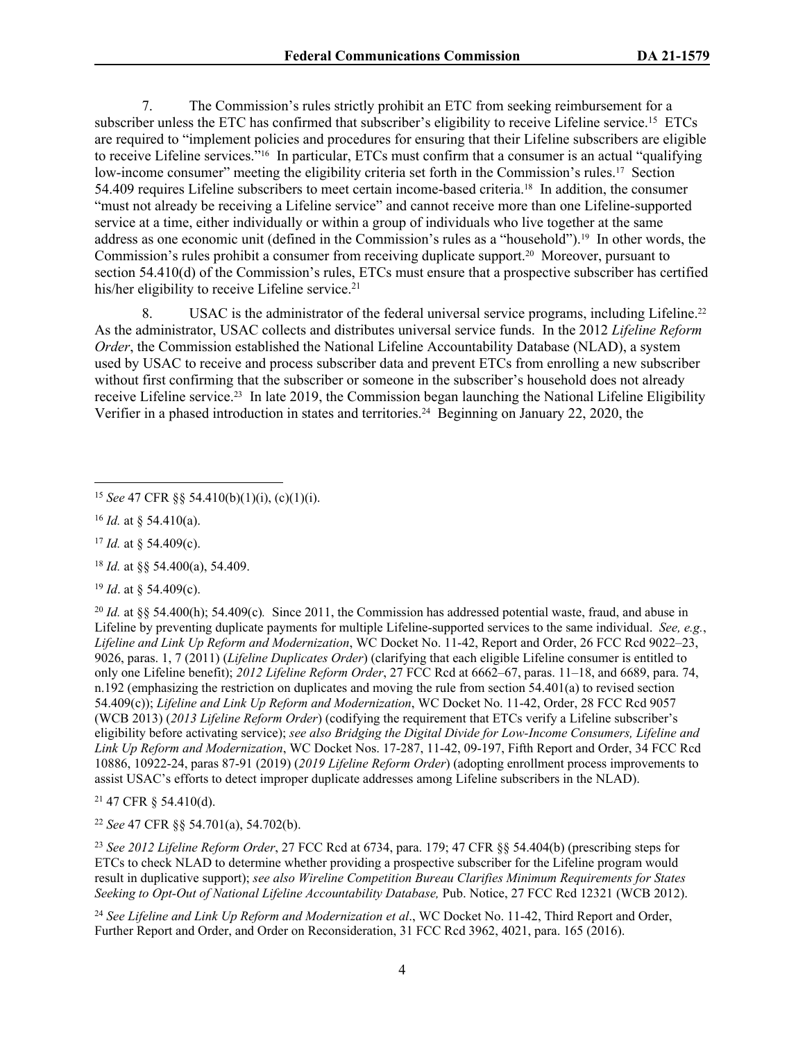7. The Commission's rules strictly prohibit an ETC from seeking reimbursement for a subscriber unless the ETC has confirmed that subscriber's eligibility to receive Lifeline service.<sup>15</sup> ETCs are required to "implement policies and procedures for ensuring that their Lifeline subscribers are eligible to receive Lifeline services."16 In particular, ETCs must confirm that a consumer is an actual "qualifying low-income consumer" meeting the eligibility criteria set forth in the Commission's rules.17 Section 54.409 requires Lifeline subscribers to meet certain income-based criteria.18 In addition, the consumer "must not already be receiving a Lifeline service" and cannot receive more than one Lifeline-supported service at a time, either individually or within a group of individuals who live together at the same address as one economic unit (defined in the Commission's rules as a "household").19 In other words, the Commission's rules prohibit a consumer from receiving duplicate support.20 Moreover, pursuant to section 54.410(d) of the Commission's rules, ETCs must ensure that a prospective subscriber has certified his/her eligibility to receive Lifeline service.<sup>21</sup>

8. USAC is the administrator of the federal universal service programs, including Lifeline.<sup>22</sup> As the administrator, USAC collects and distributes universal service funds. In the 2012 *Lifeline Reform Order*, the Commission established the National Lifeline Accountability Database (NLAD), a system used by USAC to receive and process subscriber data and prevent ETCs from enrolling a new subscriber without first confirming that the subscriber or someone in the subscriber's household does not already receive Lifeline service.<sup>23</sup> In late 2019, the Commission began launching the National Lifeline Eligibility Verifier in a phased introduction in states and territories.24 Beginning on January 22, 2020, the

<sup>17</sup> *Id.* at § 54.409(c).

<sup>18</sup> *Id.* at §§ 54.400(a), 54.409.

<sup>19</sup> *Id*. at § 54.409(c).

<sup>20</sup> *Id.* at §§ 54.400(h); 54.409(c)*.* Since 2011, the Commission has addressed potential waste, fraud, and abuse in Lifeline by preventing duplicate payments for multiple Lifeline-supported services to the same individual. *See, e.g.*, *Lifeline and Link Up Reform and Modernization*, WC Docket No. 11-42, Report and Order, 26 FCC Rcd 9022–23, 9026, paras. 1, 7 (2011) (*Lifeline Duplicates Order*) (clarifying that each eligible Lifeline consumer is entitled to only one Lifeline benefit); *2012 Lifeline Reform Order*, 27 FCC Rcd at 6662–67, paras. 11–18, and 6689, para. 74, n.192 (emphasizing the restriction on duplicates and moving the rule from section 54.401(a) to revised section 54.409(c)); *Lifeline and Link Up Reform and Modernization*, WC Docket No. 11-42, Order, 28 FCC Rcd 9057 (WCB 2013) (*2013 Lifeline Reform Order*) (codifying the requirement that ETCs verify a Lifeline subscriber's eligibility before activating service); *see also Bridging the Digital Divide for Low-Income Consumers, Lifeline and Link Up Reform and Modernization*, WC Docket Nos. 17-287, 11-42, 09-197, Fifth Report and Order, 34 FCC Rcd 10886, 10922-24, paras 87-91 (2019) (*2019 Lifeline Reform Order*) (adopting enrollment process improvements to assist USAC's efforts to detect improper duplicate addresses among Lifeline subscribers in the NLAD).

<sup>21</sup> 47 CFR § 54.410(d).

<sup>22</sup> *See* 47 CFR §§ 54.701(a), 54.702(b).

<sup>23</sup> *See 2012 Lifeline Reform Order*, 27 FCC Rcd at 6734, para. 179; 47 CFR §§ 54.404(b) (prescribing steps for ETCs to check NLAD to determine whether providing a prospective subscriber for the Lifeline program would result in duplicative support); *see also Wireline Competition Bureau Clarifies Minimum Requirements for States Seeking to Opt-Out of National Lifeline Accountability Database,* Pub. Notice, 27 FCC Rcd 12321 (WCB 2012).

<sup>24</sup> See Lifeline and Link Up Reform and Modernization et al., WC Docket No. 11-42, Third Report and Order, Further Report and Order, and Order on Reconsideration, 31 FCC Rcd 3962, 4021, para. 165 (2016).

<sup>15</sup> *See* 47 CFR §§ 54.410(b)(1)(i), (c)(1)(i).

<sup>16</sup> *Id.* at § 54.410(a).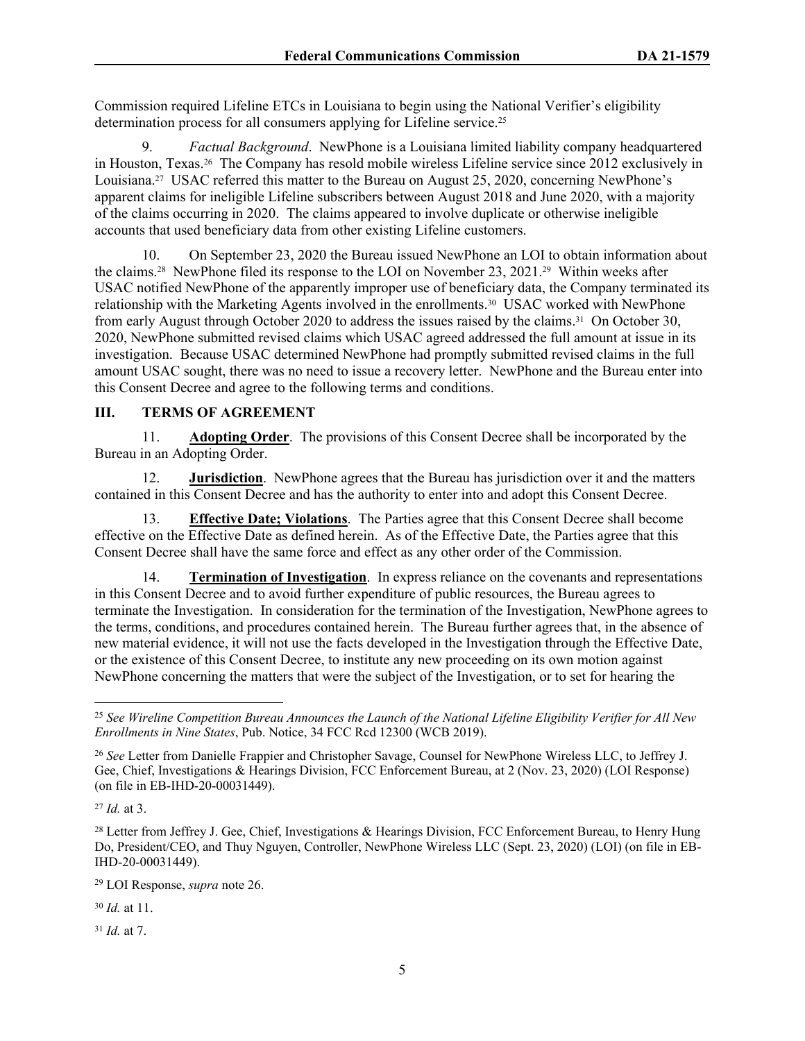Commission required Lifeline ETCs in Louisiana to begin using the National Verifier's eligibility determination process for all consumers applying for Lifeline service.<sup>25</sup>

<span id="page-6-0"></span>9. *Factual Background*. NewPhone is a Louisiana limited liability company headquartered in Houston, Texas.<sup>26</sup> The Company has resold mobile wireless Lifeline service since 2012 exclusively in Louisiana.27 USAC referred this matter to the Bureau on August 25, 2020, concerning NewPhone's apparent claims for ineligible Lifeline subscribers between August 2018 and June 2020, with a majority of the claims occurring in 2020. The claims appeared to involve duplicate or otherwise ineligible accounts that used beneficiary data from other existing Lifeline customers.

10. On September 23, 2020 the Bureau issued NewPhone an LOI to obtain information about the claims.28 NewPhone filed its response to the LOI on November 23, 2021.29 Within weeks after USAC notified NewPhone of the apparently improper use of beneficiary data, the Company terminated its relationship with the Marketing Agents involved in the enrollments.30 USAC worked with NewPhone from early August through October 2020 to address the issues raised by the claims.31 On October 30, 2020, NewPhone submitted revised claims which USAC agreed addressed the full amount at issue in its investigation. Because USAC determined NewPhone had promptly submitted revised claims in the full amount USAC sought, there was no need to issue a recovery letter. NewPhone and the Bureau enter into this Consent Decree and agree to the following terms and conditions.

# **III. TERMS OF AGREEMENT**

11. **Adopting Order**. The provisions of this Consent Decree shall be incorporated by the Bureau in an Adopting Order.

12. **Jurisdiction**. NewPhone agrees that the Bureau has jurisdiction over it and the matters contained in this Consent Decree and has the authority to enter into and adopt this Consent Decree.

13. **Effective Date; Violations**. The Parties agree that this Consent Decree shall become effective on the Effective Date as defined herein. As of the Effective Date, the Parties agree that this Consent Decree shall have the same force and effect as any other order of the Commission.

14. **Termination of Investigation**. In express reliance on the covenants and representations in this Consent Decree and to avoid further expenditure of public resources, the Bureau agrees to terminate the Investigation. In consideration for the termination of the Investigation, NewPhone agrees to the terms, conditions, and procedures contained herein. The Bureau further agrees that, in the absence of new material evidence, it will not use the facts developed in the Investigation through the Effective Date, or the existence of this Consent Decree, to institute any new proceeding on its own motion against NewPhone concerning the matters that were the subject of the Investigation, or to set for hearing the

<sup>27</sup> *Id.* at 3.

<sup>31</sup> *Id.* at 7.

<sup>25</sup> *See Wireline Competition Bureau Announces the Launch of the National Lifeline Eligibility Verifier for All New Enrollments in Nine States*, Pub. Notice, 34 FCC Rcd 12300 (WCB 2019).

<sup>26</sup> *See* Letter from Danielle Frappier and Christopher Savage, Counsel for NewPhone Wireless LLC, to Jeffrey J. Gee, Chief, Investigations & Hearings Division, FCC Enforcement Bureau, at 2 (Nov. 23, 2020) (LOI Response) (on file in EB-IHD-20-00031449).

<sup>&</sup>lt;sup>28</sup> Letter from Jeffrey J. Gee, Chief, Investigations & Hearings Division, FCC Enforcement Bureau, to Henry Hung Do, President/CEO, and Thuy Nguyen, Controller, NewPhone Wireless LLC (Sept. 23, 2020) (LOI) (on file in EB-IHD-20-00031449).

<sup>29</sup> LOI Response, *supra* note [26](#page-6-0).

<sup>30</sup> *Id.* at 11.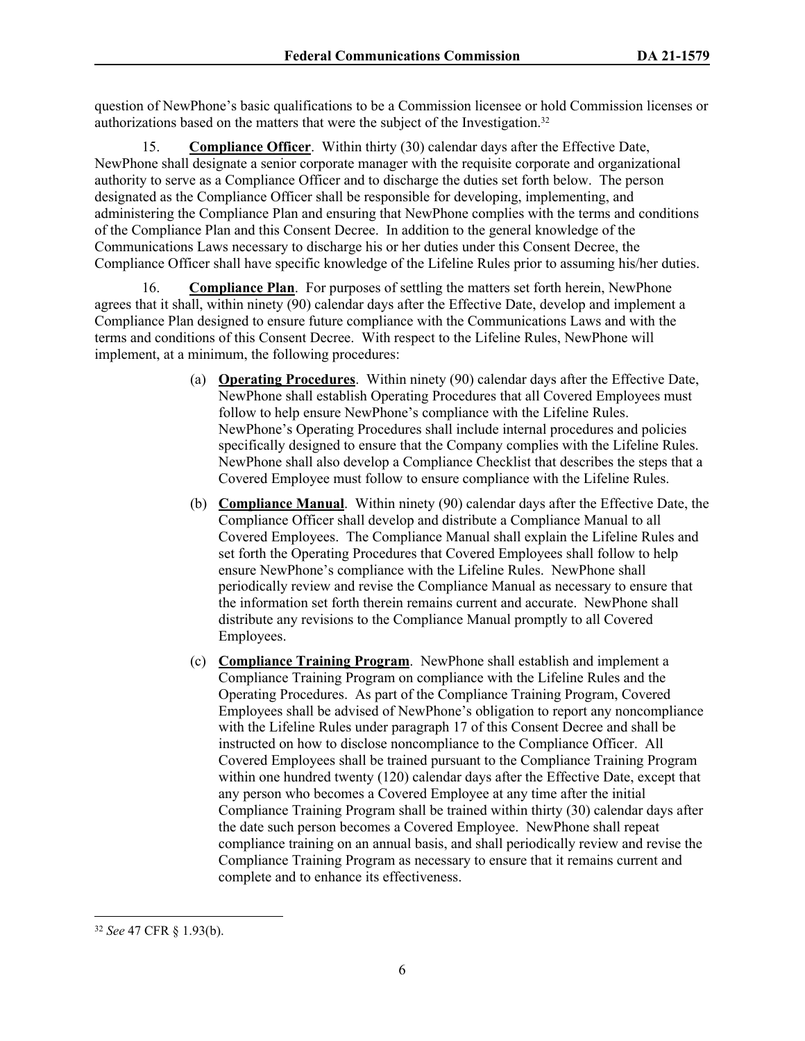question of NewPhone's basic qualifications to be a Commission licensee or hold Commission licenses or authorizations based on the matters that were the subject of the Investigation.<sup>32</sup>

<span id="page-7-1"></span>15. **Compliance Officer**. Within thirty (30) calendar days after the Effective Date, NewPhone shall designate a senior corporate manager with the requisite corporate and organizational authority to serve as a Compliance Officer and to discharge the duties set forth below. The person designated as the Compliance Officer shall be responsible for developing, implementing, and administering the Compliance Plan and ensuring that NewPhone complies with the terms and conditions of the Compliance Plan and this Consent Decree. In addition to the general knowledge of the Communications Laws necessary to discharge his or her duties under this Consent Decree, the Compliance Officer shall have specific knowledge of the Lifeline Rules prior to assuming his/her duties.

<span id="page-7-0"></span>16. **Compliance Plan**. For purposes of settling the matters set forth herein, NewPhone agrees that it shall, within ninety (90) calendar days after the Effective Date, develop and implement a Compliance Plan designed to ensure future compliance with the Communications Laws and with the terms and conditions of this Consent Decree. With respect to the Lifeline Rules, NewPhone will implement, at a minimum, the following procedures:

- (a) **Operating Procedures**. Within ninety (90) calendar days after the Effective Date, NewPhone shall establish Operating Procedures that all Covered Employees must follow to help ensure NewPhone's compliance with the Lifeline Rules. NewPhone's Operating Procedures shall include internal procedures and policies specifically designed to ensure that the Company complies with the Lifeline Rules. NewPhone shall also develop a Compliance Checklist that describes the steps that a Covered Employee must follow to ensure compliance with the Lifeline Rules.
- (b) **Compliance Manual**. Within ninety (90) calendar days after the Effective Date, the Compliance Officer shall develop and distribute a Compliance Manual to all Covered Employees. The Compliance Manual shall explain the Lifeline Rules and set forth the Operating Procedures that Covered Employees shall follow to help ensure NewPhone's compliance with the Lifeline Rules. NewPhone shall periodically review and revise the Compliance Manual as necessary to ensure that the information set forth therein remains current and accurate. NewPhone shall distribute any revisions to the Compliance Manual promptly to all Covered Employees.
- (c) **Compliance Training Program**. NewPhone shall establish and implement a Compliance Training Program on compliance with the Lifeline Rules and the Operating Procedures. As part of the Compliance Training Program, Covered Employees shall be advised of NewPhone's obligation to report any noncompliance with the Lifeline Rules under paragraph [17](#page-8-1) of this Consent Decree and shall be instructed on how to disclose noncompliance to the Compliance Officer. All Covered Employees shall be trained pursuant to the Compliance Training Program within one hundred twenty (120) calendar days after the Effective Date, except that any person who becomes a Covered Employee at any time after the initial Compliance Training Program shall be trained within thirty (30) calendar days after the date such person becomes a Covered Employee. NewPhone shall repeat compliance training on an annual basis, and shall periodically review and revise the Compliance Training Program as necessary to ensure that it remains current and complete and to enhance its effectiveness.

<sup>32</sup> *See* 47 CFR § 1.93(b).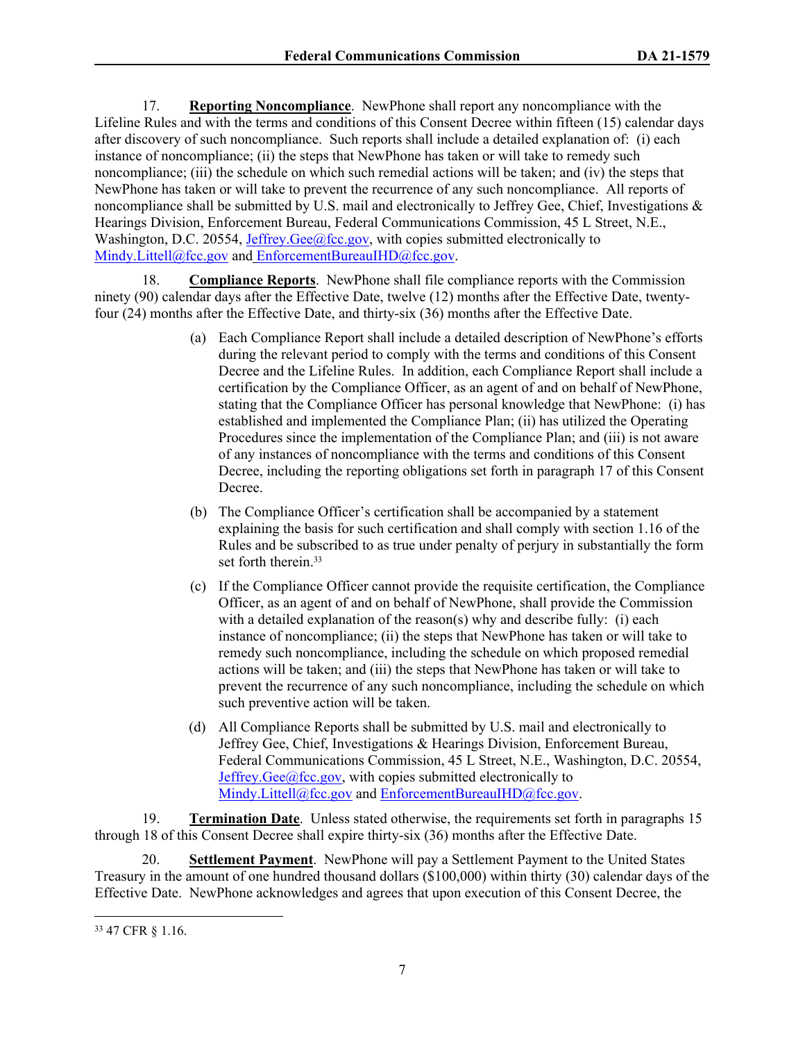<span id="page-8-1"></span>17. **Reporting Noncompliance**. NewPhone shall report any noncompliance with the Lifeline Rules and with the terms and conditions of this Consent Decree within fifteen (15) calendar days after discovery of such noncompliance. Such reports shall include a detailed explanation of: (i) each instance of noncompliance; (ii) the steps that NewPhone has taken or will take to remedy such noncompliance; (iii) the schedule on which such remedial actions will be taken; and (iv) the steps that NewPhone has taken or will take to prevent the recurrence of any such noncompliance. All reports of noncompliance shall be submitted by U.S. mail and electronically to Jeffrey Gee, Chief, Investigations & Hearings Division, Enforcement Bureau, Federal Communications Commission, 45 L Street, N.E., Washington, D.C. 20554, [Jeffrey.Gee@fcc.gov,](mailto:Jeffrey.Gee@fcc.gov) with copies submitted electronically to [Mindy.Littell@fcc.gov](mailto:Mindy.Littell@fcc.gov) and EnforcementBureauIHD@fcc.gov.

<span id="page-8-2"></span>18. **Compliance Reports**. NewPhone shall file compliance reports with the Commission ninety (90) calendar days after the Effective Date, twelve (12) months after the Effective Date, twentyfour (24) months after the Effective Date, and thirty-six (36) months after the Effective Date.

- (a) Each Compliance Report shall include a detailed description of NewPhone's efforts during the relevant period to comply with the terms and conditions of this Consent Decree and the Lifeline Rules. In addition, each Compliance Report shall include a certification by the Compliance Officer, as an agent of and on behalf of NewPhone, stating that the Compliance Officer has personal knowledge that NewPhone: (i) has established and implemented the Compliance Plan; (ii) has utilized the Operating Procedures since the implementation of the Compliance Plan; and (iii) is not aware of any instances of noncompliance with the terms and conditions of this Consent Decree, including the reporting obligations set forth in paragraph [17](#page-8-1) of this Consent Decree.
- (b) The Compliance Officer's certification shall be accompanied by a statement explaining the basis for such certification and shall comply with section 1.16 of the Rules and be subscribed to as true under penalty of perjury in substantially the form set forth therein.<sup>33</sup>
- (c) If the Compliance Officer cannot provide the requisite certification, the Compliance Officer, as an agent of and on behalf of NewPhone, shall provide the Commission with a detailed explanation of the reason(s) why and describe fully: (i) each instance of noncompliance; (ii) the steps that NewPhone has taken or will take to remedy such noncompliance, including the schedule on which proposed remedial actions will be taken; and (iii) the steps that NewPhone has taken or will take to prevent the recurrence of any such noncompliance, including the schedule on which such preventive action will be taken.
- (d) All Compliance Reports shall be submitted by U.S. mail and electronically to Jeffrey Gee, Chief, Investigations & Hearings Division, Enforcement Bureau, Federal Communications Commission, 45 L Street, N.E., Washington, D.C. 20554, Jeffrey. Gee $@$ fcc.gov, with copies submitted electronically to [Mindy.Littell@fcc.gov](mailto:Mindy.Littell@fcc.gov) and EnforcementBureauIHD@fcc.gov.

19. **Termination Date**. Unless stated otherwise, the requirements set forth in paragraphs [15](#page-7-1) through [18](#page-8-2) of this Consent Decree shall expire thirty-six (36) months after the Effective Date.

<span id="page-8-0"></span>20. **Settlement Payment**. NewPhone will pay a Settlement Payment to the United States Treasury in the amount of one hundred thousand dollars (\$100,000) within thirty (30) calendar days of the Effective Date. NewPhone acknowledges and agrees that upon execution of this Consent Decree, the

<sup>33</sup> 47 CFR § 1.16.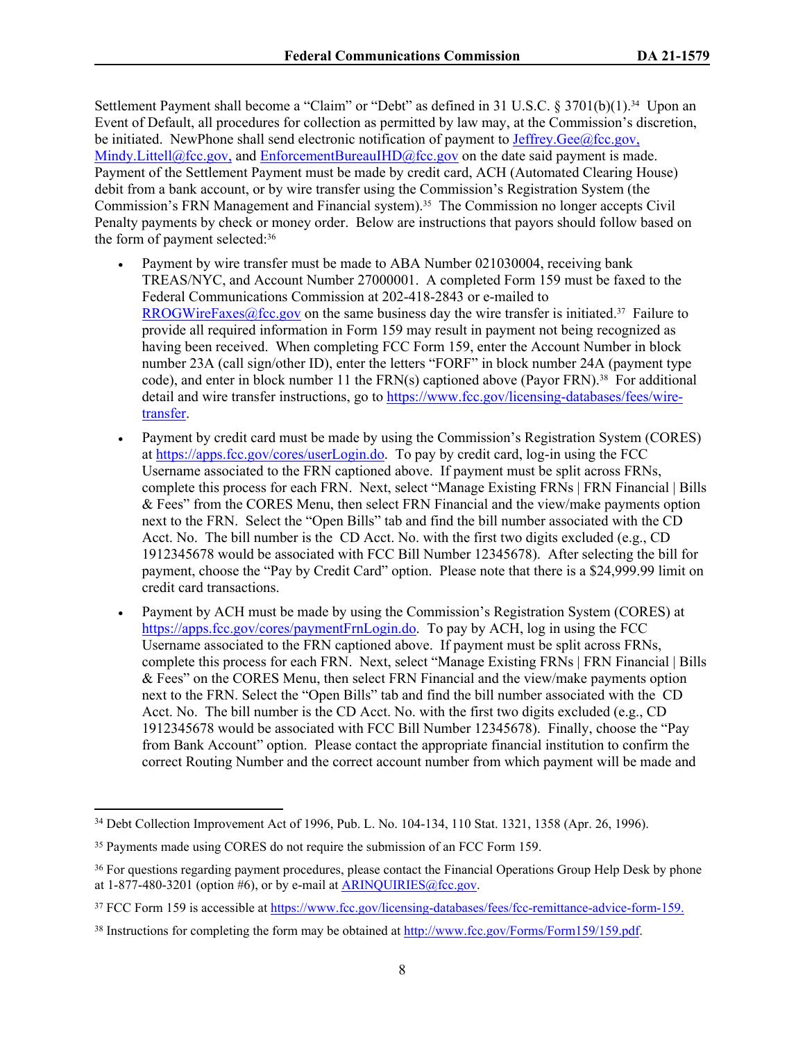Settlement Payment shall become a "Claim" or "Debt" as defined in 31 U.S.C. § 3701(b)(1).<sup>34</sup> Upon an Event of Default, all procedures for collection as permitted by law may, at the Commission's discretion, be initiated. NewPhone shall send electronic notification of payment to Jeffrey. Gee $@$ fcc.gov, [Mindy.Littell@fcc.gov,](mailto:Mindy.Littell@fcc.gov) and EnforcementBureauIHD@fcc.gov on the date said payment is made. Payment of the Settlement Payment must be made by credit card, ACH (Automated Clearing House) debit from a bank account, or by wire transfer using the Commission's Registration System (the Commission's FRN Management and Financial system).35 The Commission no longer accepts Civil Penalty payments by check or money order. Below are instructions that payors should follow based on the form of payment selected:<sup>36</sup>

- Payment by wire transfer must be made to ABA Number 021030004, receiving bank TREAS/NYC, and Account Number 27000001. A completed Form 159 must be faxed to the Federal Communications Commission at 202-418-2843 or e-mailed to [RROGWireFaxes@fcc.gov](mailto:RROGWireFaxes@fcc.gov) on the same business day the wire transfer is initiated.<sup>37</sup> Failure to provide all required information in Form 159 may result in payment not being recognized as having been received. When completing FCC Form 159, enter the Account Number in block number 23A (call sign/other ID), enter the letters "FORF" in block number 24A (payment type code), and enter in block number 11 the  $FRN(s)$  captioned above (Payor  $FRN$ ).<sup>38</sup> For additional detail and wire transfer instructions, go to [https://www.fcc.gov/licensing-databases/fees/wire](https://www.fcc.gov/licensing-databases/fees/wire-transfer)[transfer.](https://www.fcc.gov/licensing-databases/fees/wire-transfer)
- Payment by credit card must be made by using the Commission's Registration System (CORES) at [https://apps.fcc.gov/cores/userLogin.do.](https://appsint.fcc.gov/cores/userLogin.do) To pay by credit card, log-in using the FCC Username associated to the FRN captioned above. If payment must be split across FRNs, complete this process for each FRN. Next, select "Manage Existing FRNs | FRN Financial | Bills & Fees" from the CORES Menu, then select FRN Financial and the view/make payments option next to the FRN. Select the "Open Bills" tab and find the bill number associated with the CD Acct. No. The bill number is the CD Acct. No. with the first two digits excluded (e.g., CD 1912345678 would be associated with FCC Bill Number 12345678). After selecting the bill for payment, choose the "Pay by Credit Card" option. Please note that there is a \$24,999.99 limit on credit card transactions.
- Payment by ACH must be made by using the Commission's Registration System (CORES) at [https://apps.fcc.gov/cores/paymentFrnLogin.do.](https://apps.fcc.gov/cores/paymentFrnLogin.do) To pay by ACH, log in using the FCC Username associated to the FRN captioned above. If payment must be split across FRNs, complete this process for each FRN. Next, select "Manage Existing FRNs | FRN Financial | Bills & Fees" on the CORES Menu, then select FRN Financial and the view/make payments option next to the FRN. Select the "Open Bills" tab and find the bill number associated with the CD Acct. No. The bill number is the CD Acct. No. with the first two digits excluded (e.g., CD 1912345678 would be associated with FCC Bill Number 12345678). Finally, choose the "Pay from Bank Account" option. Please contact the appropriate financial institution to confirm the correct Routing Number and the correct account number from which payment will be made and

<sup>34</sup> Debt Collection Improvement Act of 1996, Pub. L. No. 104-134, 110 Stat. 1321, 1358 (Apr. 26, 1996).

<sup>&</sup>lt;sup>35</sup> Payments made using CORES do not require the submission of an FCC Form 159.

<sup>&</sup>lt;sup>36</sup> For questions regarding payment procedures, please contact the Financial Operations Group Help Desk by phone at  $1-877-480-3201$  (option #6), or by e-mail at ARINOUIRIES@fcc.gov.

<sup>&</sup>lt;sup>37</sup> FCC Form 159 is accessible at <https://www.fcc.gov/licensing-databases/fees/fcc-remittance-advice-form-159>.

<sup>38</sup> Instructions for completing the form may be obtained at<http://www.fcc.gov/Forms/Form159/159.pdf>.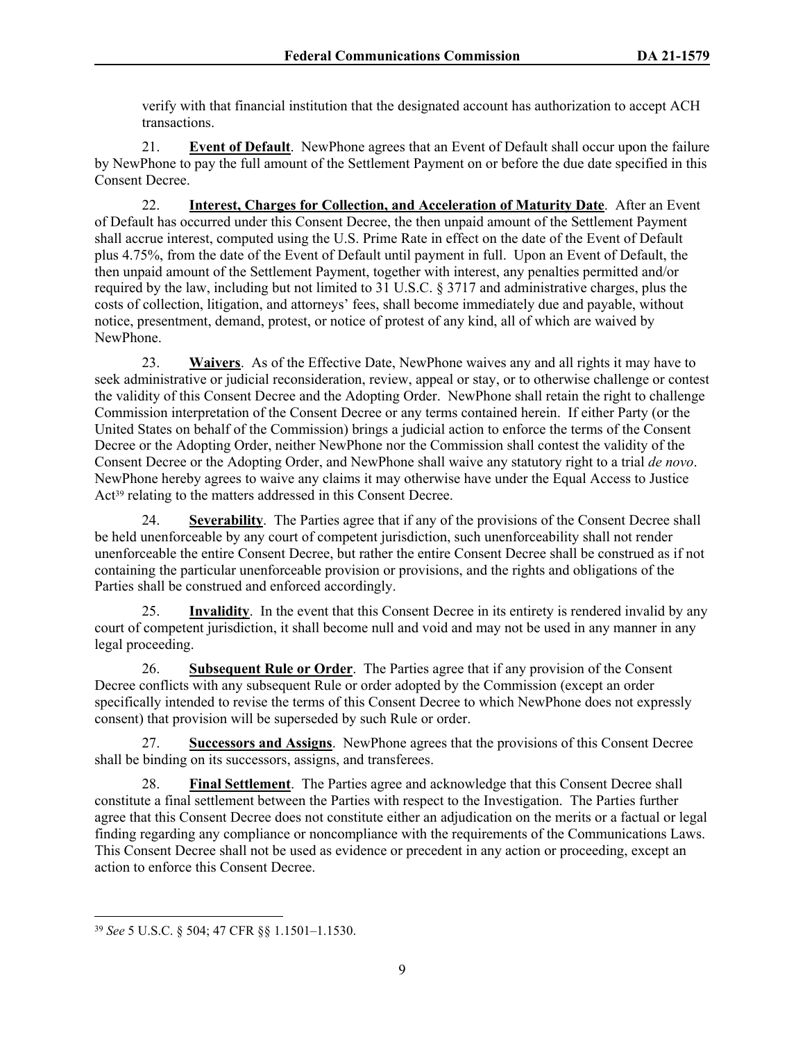verify with that financial institution that the designated account has authorization to accept ACH transactions.

21. **Event of Default**. NewPhone agrees that an Event of Default shall occur upon the failure by NewPhone to pay the full amount of the Settlement Payment on or before the due date specified in this Consent Decree.

22. **Interest, Charges for Collection, and Acceleration of Maturity Date**. After an Event of Default has occurred under this Consent Decree, the then unpaid amount of the Settlement Payment shall accrue interest, computed using the U.S. Prime Rate in effect on the date of the Event of Default plus 4.75%, from the date of the Event of Default until payment in full. Upon an Event of Default, the then unpaid amount of the Settlement Payment, together with interest, any penalties permitted and/or required by the law, including but not limited to 31 U.S.C. § 3717 and administrative charges, plus the costs of collection, litigation, and attorneys' fees, shall become immediately due and payable, without notice, presentment, demand, protest, or notice of protest of any kind, all of which are waived by NewPhone.

23. **Waivers**. As of the Effective Date, NewPhone waives any and all rights it may have to seek administrative or judicial reconsideration, review, appeal or stay, or to otherwise challenge or contest the validity of this Consent Decree and the Adopting Order. NewPhone shall retain the right to challenge Commission interpretation of the Consent Decree or any terms contained herein. If either Party (or the United States on behalf of the Commission) brings a judicial action to enforce the terms of the Consent Decree or the Adopting Order, neither NewPhone nor the Commission shall contest the validity of the Consent Decree or the Adopting Order, and NewPhone shall waive any statutory right to a trial *de novo*. NewPhone hereby agrees to waive any claims it may otherwise have under the Equal Access to Justice Act<sup>39</sup> relating to the matters addressed in this Consent Decree.

24. **Severability**. The Parties agree that if any of the provisions of the Consent Decree shall be held unenforceable by any court of competent jurisdiction, such unenforceability shall not render unenforceable the entire Consent Decree, but rather the entire Consent Decree shall be construed as if not containing the particular unenforceable provision or provisions, and the rights and obligations of the Parties shall be construed and enforced accordingly.

25. **Invalidity**. In the event that this Consent Decree in its entirety is rendered invalid by any court of competent jurisdiction, it shall become null and void and may not be used in any manner in any legal proceeding.

26. **Subsequent Rule or Order**. The Parties agree that if any provision of the Consent Decree conflicts with any subsequent Rule or order adopted by the Commission (except an order specifically intended to revise the terms of this Consent Decree to which NewPhone does not expressly consent) that provision will be superseded by such Rule or order.

27. **Successors and Assigns**. NewPhone agrees that the provisions of this Consent Decree shall be binding on its successors, assigns, and transferees.

28. **Final Settlement**. The Parties agree and acknowledge that this Consent Decree shall constitute a final settlement between the Parties with respect to the Investigation. The Parties further agree that this Consent Decree does not constitute either an adjudication on the merits or a factual or legal finding regarding any compliance or noncompliance with the requirements of the Communications Laws. This Consent Decree shall not be used as evidence or precedent in any action or proceeding, except an action to enforce this Consent Decree.

<sup>39</sup> *See* 5 U.S.C. § 504; 47 CFR §§ 1.1501–1.1530.